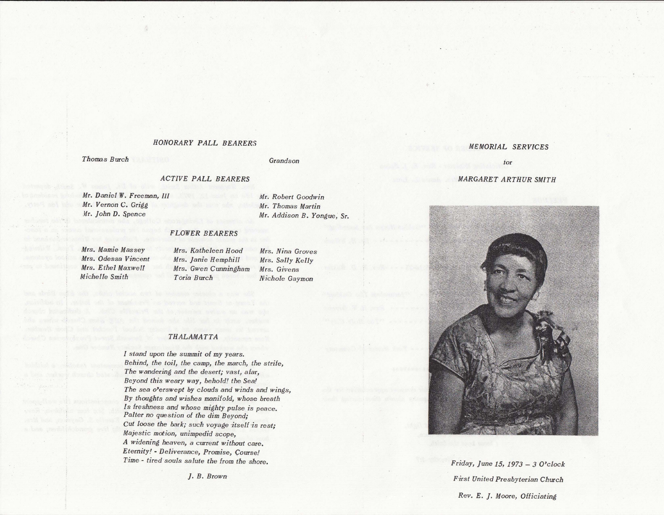# *HONORARY PALL BEARERS*

*Thomas Burch* 

## *Grandson*

## *ACTIVE PALL BEARERS*

*Mr. Daniel W. Freeman, III Mr. Vernon* C. *Grigg*  Mr. John D. Spence

*Mr. Robert Goodwin Mr. Thomas Martin Mr. Addison B. Yongue,* Sr.

## *FLOWER BEARERS*

*Mrs. Mamie Massey Mrs. Odessa Vincent Mrs. Ethel Maxwell Michelle Smith* 

*Mrs. Katheleen Hood Mrs. Janie Hemphill Mrs. Gwen Cunningham Toria Burch* 

*Mrs. Nina Groves Mrs. Sally Kelly Mrs. Givens Nichole Gaymon* 

#### *THALAMATTA*

*I stand upon the summit of my years. Behind, the toil, the camp, the march, the strife, The wandering and the desert; vast, afar, Beyond this weary way, behold! the Sea! The sea o'erswept by clouds and winds and wings, By thoughts and wishes manifold, whose breath*  ls *freshness and whose mighty pulse is peace. Palter no question of the dim Beyond; Cut loose the bark; such voyage ·itself ·is rest; Majestic motion, unimpedid scope, A widening heaven, a current without care.*   $Eternity!$  - *Deliverance*, *Promise*, *Course! Time* - *tired souls salute the from the shore.* 

*]. B. Brown* 

### *MEMORIAL SERVICES*

## *for*

#### *MARGARET ARTHUR SMITH*



*Friday, June 15, 1973* - *3 O'clock First United Presbyterian Church Rev. E. ]. Moore, Officiating*